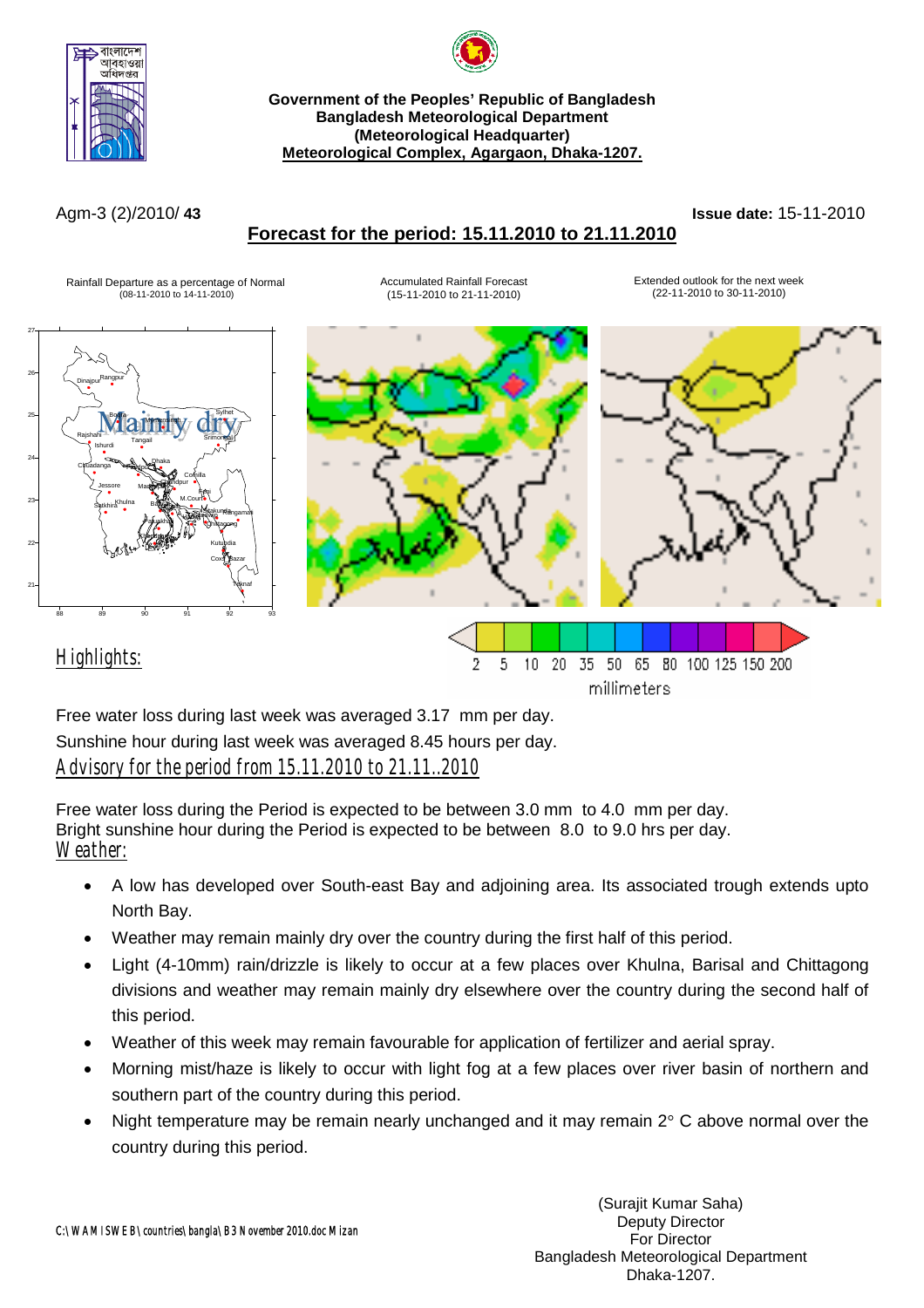



**Government of the Peoples' Republic of Bangladesh Bangladesh Meteorological Department (Meteorological Headquarter) Meteorological Complex, Agargaon, Dhaka-1207.**

#### Agm-3 (2)/2010/ **43 Issue date:** 15-11-2010

## **Forecast for the period: 15.11.2010 to 21.11.2010**

#### Rainfall Departure as a percentage of Normal (08-11-2010 to 14-11-2010)

Accumulated Rainfall Forecast (15-11-2010 to 21-11-2010)

Extended outlook for the next week (22-11-2010 to 30-11-2010)



Free water loss during last week was averaged 3.17 mm per day. Sunshine hour during last week was averaged 8.45 hours per day. *Advisory for the period from 15.11.2010 to 21.11..2010*

Free water loss during the Period is expected to be between 3.0 mm to 4.0 mm per day. Bright sunshine hour during the Period is expected to be between 8.0 to 9.0 hrs per day. *Weather:*

- A low has developed over South-east Bay and adjoining area. Its associated trough extends upto North Bay.
- Weather may remain mainly dry over the country during the first half of this period.
- Light (4-10mm) rain/drizzle is likely to occur at a few places over Khulna, Barisal and Chittagong divisions and weather may remain mainly dry elsewhere over the country during the second half of this period.
- Weather of this week may remain favourable for application of fertilizer and aerial spray.
- Morning mist/haze is likely to occur with light fog at a few places over river basin of northern and southern part of the country during this period.
- Night temperature may be remain nearly unchanged and it may remain  $2^{\circ}$  C above normal over the country during this period.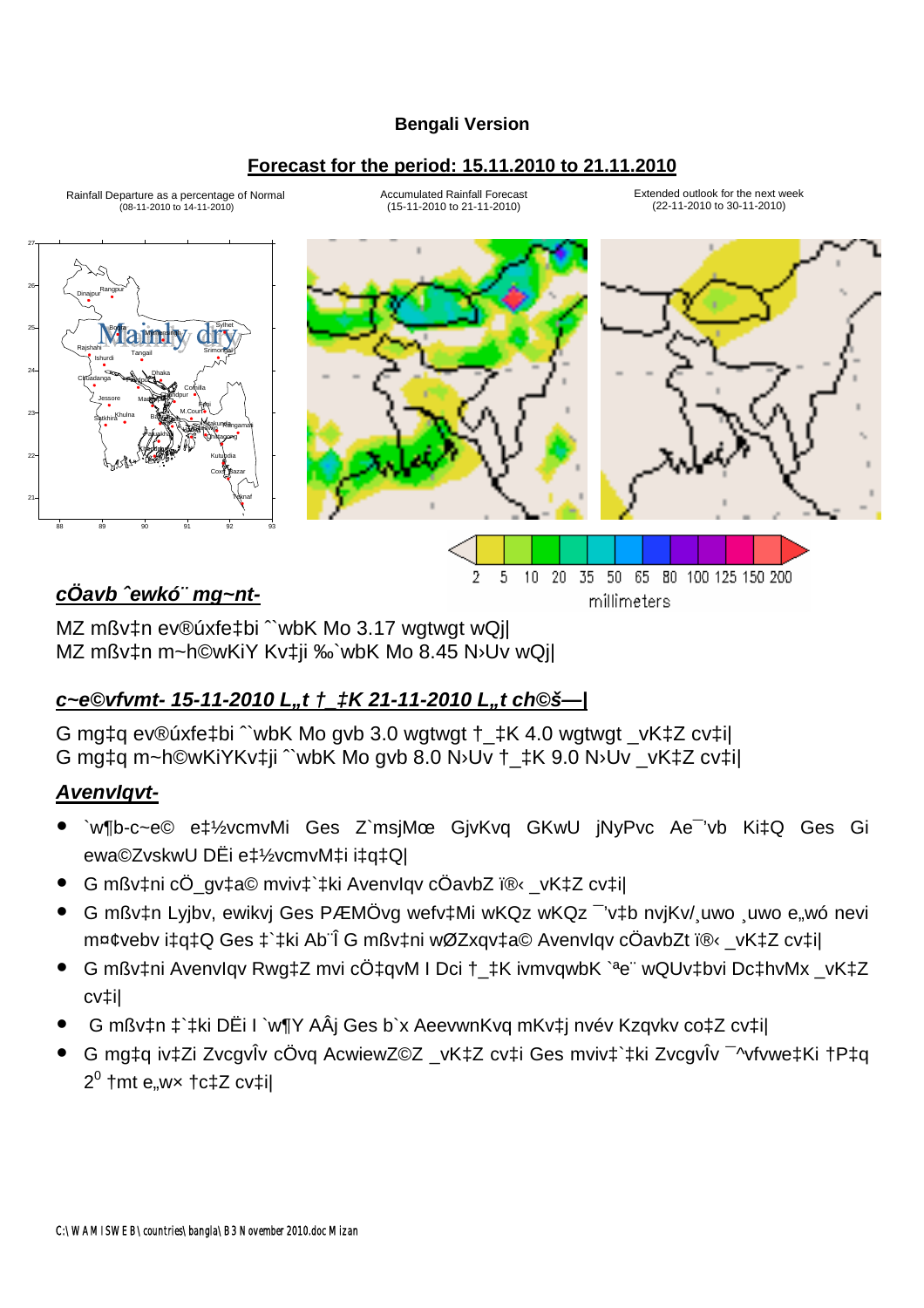### **Bengali Version**

## **Forecast for the period: 15.11.2010 to 21.11.2010**



Rainfall Departure as a percentage of Normal (08-11-2010 to 14-11-2010)

Accumulated Rainfall Forecast (15-11-2010 to 21-11-2010)

Extended outlook for the next week (22-11-2010 to 30-11-2010)



20 35 50 65 80 100 125 150 200

millimeters

# *cÖavb ˆewkó¨ mg~nt-*

MZ mßv‡n ev®úxfe‡bi <sup>^</sup>`wbK Mo 3.17 wgtwgt wQj| MZ mßv‡n m~h©wKiY Kv‡ji ‰`wbK Mo 8.45 N›Uv wQj|

## *c~e©vfvmt- 15-11-2010 L"t †\_‡K 21-11-2010 L"t ch©š—|*

G mg‡q ev®úxfe‡bi ˆ`wbK Mo gvb 3.0 wgtwgt †\_‡K 4.0 wgtwgt \_vK‡Z cv‡i| G mg‡q m~h©wKiYKv‡ji ˆ`wbK Mo gvb 8.0 N›Uv †\_‡K 9.0 N›Uv \_vK‡Z cv‡i|

## *AvenvIqvt-*

y `w¶b-c~e© e‡½vcmvMi Ges Z`msjMœ GjvKvq GKwU jNyPvc Ae¯'vb Ki‡Q Ges Gi ewa©ZvskwU DËi e‡½vcmvM‡i i‡q‡Q|

2 5  $10$ 

- G mßv‡ni cÖ\_gv‡a© mviv‡`‡ki AvenvIgv cÖavbZ ï®← vK‡Z cv‡i|
- G mßv‡n Lyjbv, ewikvj Ges PÆMÖvg wefv‡Mi wKQz wKQz <sup>-</sup>'v‡b nvjKv/ uwo wwo e wó nevi m¤¢vebv i‡q‡Q Ges ‡`‡ki Ab¨Î G mßv‡ni wØZxqv‡a© Avenvlqv cÖavbZt ﮋ\_vK‡Z cv‡i|
- G mßv‡ni AvenvIqv Rwg‡Z mvi cÖ‡qvM I Dci †\_‡K ivmvqwbK `ªe¨ wQUv‡bvi Dc‡hvMx \_vK‡Z cv‡i|
- y G mßv‡n ‡`‡ki DËi I `w¶Y AÂj Ges b`x AeevwnKvq mKv‡j nvév Kzqvkv co‡Z cv‡i|
- y G mg‡q iv‡Zi ZvcgvÎv cÖvq AcwiewZ©Z \_vK‡Z cv‡i Ges mviv‡`‡ki ZvcgvÎv ¯^vfvwe‡Ki †P‡q  $2^0$  †mt e"w× †c‡Z cv‡i∣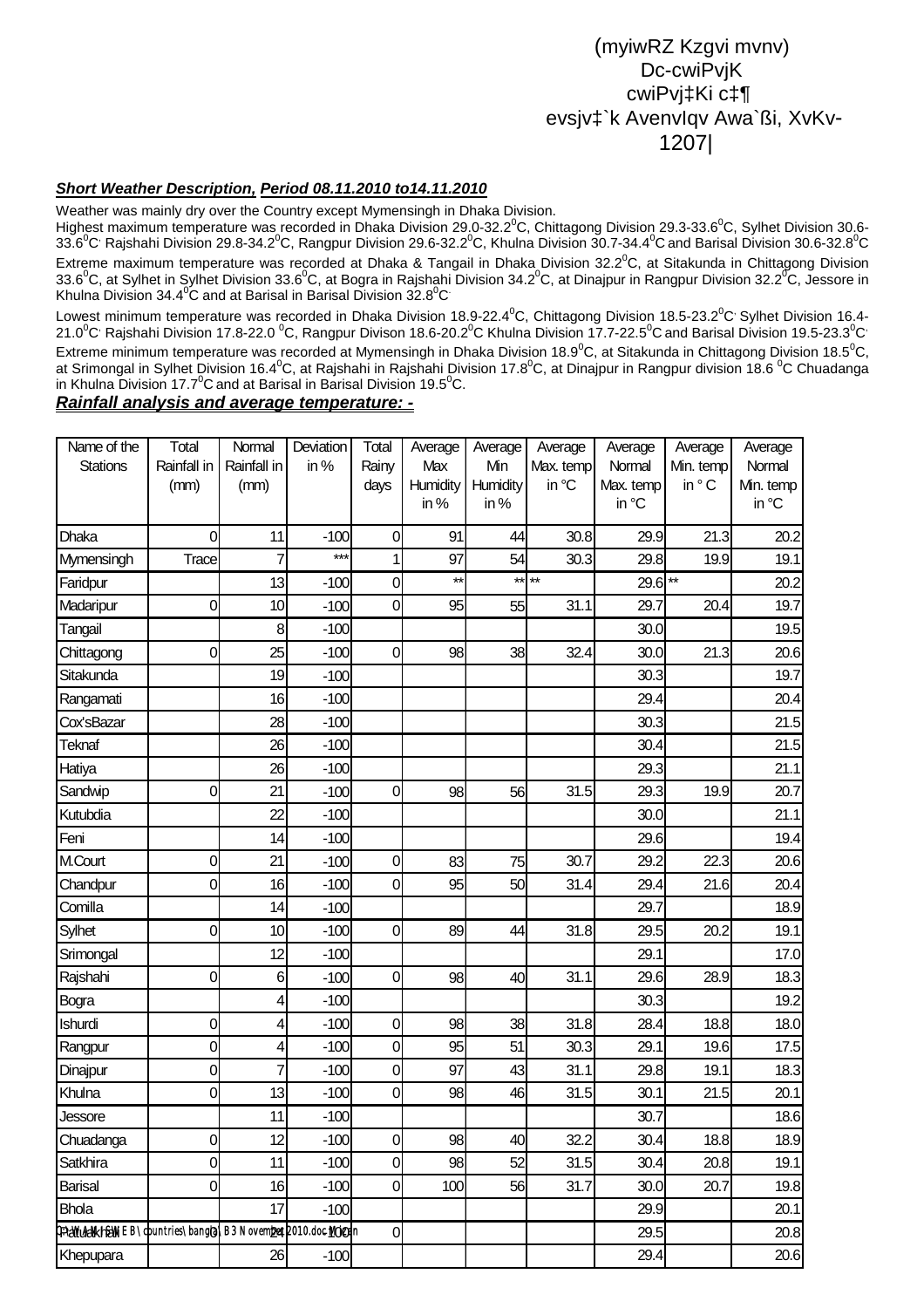## (myiwRZ Kzgvi mvnv) Dc-cwiPvjK cwiPvj‡Ki c‡¶ evsjv‡`k AvenvIqv Awa`ßi, XvKv-1207|

#### *Short Weather Description, Period 08.11.2010 to14.11.2010*

Weather was mainly dry over the Country except Mymensingh in Dhaka Division.

Highest maximum temperature was recorded in Dhaka Division 29.0-32.2<sup>0</sup>C, Chittagong Division 29.3-33.6<sup>0</sup>C, Sylhet Division 30.6-33.6 $^0$ C<sup>,</sup> Rajshahi Division 29.8-34.2 $^0$ C, Rangpur Division 29.6-32.2 $^0$ C, Khulna Division 30.7-34.4 $^0$ C and Barisal Division 30.6-32.8 $^0$ C Extreme maximum temperature was recorded at Dhaka & Tangail in Dhaka Division 32.2 $^0$ C, at Sitakunda in Chittagong Division 33.6 $^0$ C, at Sylhet in Sylhet Division 33.6 $^0$ C, at Bogra in Rajshahi Division 34.2 $^0$ C, at Dinajpur in Rangpur Division 32.2 $^0$ C, Jessore in Khulna Division 34.4<sup>0</sup>C and at Barisal in Barisal Division 32.8<sup>0</sup>C

Lowest minimum temperature was recorded in Dhaka Division 18.9-22.4<sup>0</sup>C, Chittagong Division 18.5-23.2<sup>0</sup>C' Sylhet Division 16.4-21.0 $^0$ C<sup>,</sup> Rajshahi Division 17.8-22.0  $^0$ C, Rangpur Divison 18.6-20.2 $^0$ C Khulna Division 17.7-22.5 $^0$ C and Barisal Division 19.5-23.3 $^0$ C $^{\circ}$ Extreme minimum temperature was recorded at Mymensingh in Dhaka Division 18.9 $^0$ C, at Sitakunda in Chittagong Division 18.5 $^0$ C, at Srimongal in Sylhet Division 16.4<sup>0</sup>C, at Rajshahi in Rajshahi Division 17.8<sup>0</sup>C, at Dinajpur in Rangpur division 18.6 <sup>0</sup>C Chuadanga in Khulna Division 17.7 $\mathrm{^0C}$  and at Barisal in Barisal Division 19.5 $\mathrm{^0C}$ .

#### *Rainfall analysis and average temperature: -*

| Name of the                                              | Total          | Normal          | Deviation | Total          | Average      | Average  | Average   | Average   | Average      | Average   |
|----------------------------------------------------------|----------------|-----------------|-----------|----------------|--------------|----------|-----------|-----------|--------------|-----------|
| <b>Stations</b>                                          | Rainfall in    | Rainfall in     | in%       | Rainy          | Max          | Min      | Max. temp | Normal    | Min. temp    | Normal    |
|                                                          | (mm)           | (mm)            |           | days           | Humidity     | Humidity | in °C     | Max. temp | in °C        | Min. temp |
|                                                          |                |                 |           |                | in $%$       | in $%$   |           | in °C     |              | in °C     |
| Dhaka                                                    | 0              | 11              | $-100$    | 0              | 91           | 44       | 30.8      | 29.9      | 21.3         | 20.2      |
| Mymensingh                                               | Trace          | 7               | ***       |                | 97           | 54       | 30.3      | 29.8      | 19.9         | 19.1      |
| Faridpur                                                 |                | 13              | $-100$    | $\overline{0}$ | $\star\star$ |          | $***$ **  | 29.6      | $\star\star$ | 20.2      |
| Madaripur                                                | 0              | 10              | $-100$    | $\overline{0}$ | 95           | 55       | 31.1      | 29.7      | 20.4         | 19.7      |
| Tangail                                                  |                | 8               | $-100$    |                |              |          |           | 30.0      |              | 19.5      |
| Chittagong                                               | 0              | 25              | $-100$    | $\overline{0}$ | 98           | 38       | 32.4      | 30.0      | 21.3         | 20.6      |
| Sitakunda                                                |                | 19              | $-100$    |                |              |          |           | 30.3      |              | 19.7      |
| Rangamati                                                |                | 16              | $-100$    |                |              |          |           | 29.4      |              | 20.4      |
| Cox'sBazar                                               |                | 28              | $-100$    |                |              |          |           | 30.3      |              | 21.5      |
| Teknaf                                                   |                | 26              | $-100$    |                |              |          |           | 30.4      |              | 21.5      |
| Hatiya                                                   |                | 26              | $-100$    |                |              |          |           | 29.3      |              | 21.1      |
| Sandwip                                                  | 0              | 21              | $-100$    | $\overline{0}$ | 98           | 56       | 31.5      | 29.3      | 19.9         | 20.7      |
| Kutubdia                                                 |                | 22              | $-100$    |                |              |          |           | 30.0      |              | 21.1      |
| Feni                                                     |                | 14              | $-100$    |                |              |          |           | 29.6      |              | 19.4      |
| M.Court                                                  | 0              | 21              | $-100$    | $\overline{0}$ | 83           | 75       | 30.7      | 29.2      | 22.3         | 20.6      |
| Chandpur                                                 | 0              | 16              | $-100$    | 0              | 95           | 50       | 31.4      | 29.4      | 21.6         | 20.4      |
| Comilla                                                  |                | 14              | $-100$    |                |              |          |           | 29.7      |              | 18.9      |
| Sylhet                                                   | 0              | 10 <sup>1</sup> | $-100$    | $\overline{0}$ | 89           | 44       | 31.8      | 29.5      | 20.2         | 19.1      |
| Srimongal                                                |                | 12              | $-100$    |                |              |          |           | 29.1      |              | 17.0      |
| Rajshahi                                                 | 0              | 6               | $-100$    | 0              | 98           | 40       | 31.1      | 29.6      | 28.9         | 18.3      |
| <b>Bogra</b>                                             |                | 4               | $-100$    |                |              |          |           | 30.3      |              | 19.2      |
| Ishurdi                                                  | 0              | 4               | $-100$    | 0              | 98           | 38       | 31.8      | 28.4      | 18.8         | 18.0      |
| Rangpur                                                  | 0              | 4               | $-100$    | $\overline{0}$ | 95           | 51       | 30.3      | 29.1      | 19.6         | 17.5      |
| Dinajpur                                                 | 0              | 7               | $-100$    | 0              | 97           | 43       | 31.1      | 29.8      | 19.1         | 18.3      |
| Khulna                                                   | 0              | 13              | $-100$    | $\overline{0}$ | 98           | 46       | 31.5      | 30.1      | 21.5         | 20.1      |
| Jessore                                                  |                | 11              | $-100$    |                |              |          |           | 30.7      |              | 18.6      |
| Chuadanga                                                | $\overline{0}$ | 12              | $-100$    | $\overline{0}$ | 98           | 40       | 32.2      | 30.4      | 18.8         | 18.9      |
| Satkhira                                                 | 0              | 11              | $-100$    | $\overline{0}$ | 98           | 52       | 31.5      | 30.4      | 20.8         | 19.1      |
| <b>Barisal</b>                                           | 0              | 16              | $-100$    | $\overline{0}$ | 100          | 56       | 31.7      | 30.0      | 20.7         | 19.8      |
| <b>Bhola</b>                                             |                | 17              | $-100$    |                |              |          |           | 29.9      |              | 20.1      |
| CPHAGAMASINEB\countries\bangta\B3 Novempet2010.doc10izan |                |                 |           | $\overline{0}$ |              |          |           | 29.5      |              | 20.8      |
| Khepupara                                                |                | 26              | $-100$    |                |              |          |           | 29.4      |              | 20.6      |